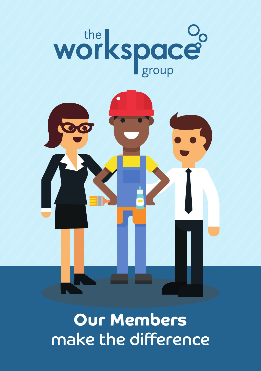# workspace<sup>o</sup>



**Our Members** make the difference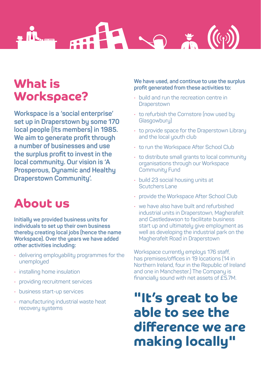

## **What is Workspace?**

**Workspace is a 'social enterprise' set up in Draperstown by some 170 local people (its members) in 1985. We aim to generate profit through a number of businesses and use the surplus profit to invest in the local community. Our vision is 'A Prosperous, Dynamic and Healthy Draperstown Community'.** 

## **About us**

**Initially we provided business units for individuals to set up their own business thereby creating local jobs (hence the name Workspace). Over the years we have added other activities including:** 

- delivering employability programmes for the unemployed
- installing home insulation
- providing recruitment services
- business start-up services
- manufacturing industrial waste heat recovery systems

**We have used, and continue to use the surplus profit generated from these activities to:** 

- build and run the recreation centre in **Draperstown**
- to refurbish the Cornstore (now used by Glasgowbury)
- to provide space for the Draperstown Library and the local youth club
- to run the Workspace After School Club
- to distribute small grants to local community organisations through our Workspace Community Fund
- build 23 social housing units at Scutchers Lane
- provide the Workspace After School Club
- we have also have built and refurbished industrial units in Draperstown, Magherafelt and Castledawson to facilitate business start up and ultimately give employment as well as developing the industrial park on the Magherafelt Road in Draperstown

Workspace currently employs 176 staff, has premises/offices in 19 locations (14 in Northern Ireland, four in the Republic of Ireland and one in Manchester.) The Company is financially sound with net assets of £5.7M.

## **"It's great to be able to see the difference we are making locally"**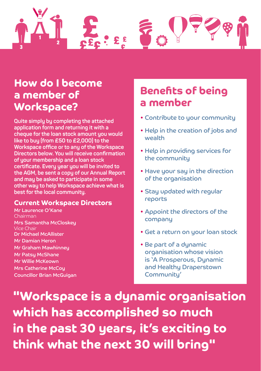

#### **How do I become a member of Workspace?**

**Quite simply by completing the attached application form and returning it with a cheque for the loan stock amount you would like to buy (from £50 to £2,000) to the Workspace office or to any of the Workspace Directors below. You will receive confirmation of your membership and a loan stock certificate. Every year you will be invited to the AGM, be sent a copy of our Annual Report and may be asked to participate in some other way to help Workspace achieve what is best for the local community.** 

#### **Current Workspace Directors**

Mr Laurence O'Kane Chairman Mrs Samantha McCloskey Vice Chair Dr Michael McAllister Mr Damian Heron Mr Graham Mawhinney Mr Patsy McShane Mr Willie McKeown Mrs Catherine McCoy Councillor Brian McGuigan

### **Benefits of being a member**

- Contribute to your community
- Help in the creation of jobs and wealth
- Help in providing services for the community
- Have your say in the direction of the organisation
- Stay updated with regular reports
- Appoint the directors of the company
- Get a return on your loan stock
- Be part of a dynamic organisation whose vision is 'A Prosperous, Dynamic and Healthy Draperstown Community'

**"Workspace is a dynamic organisation which has accomplished so much in the past 30 years, it's exciting to think what the next 30 will bring"**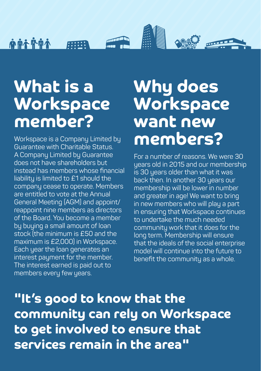$\triangle$ eal 心血不平血不

# **What is a Workspace member?**

Workspace is a Company Limited by Guarantee with Charitable Status. A Company Limited by Guarantee does not have shareholders but instead has members whose financial liability is limited to £1 should the company cease to operate. Members are entitled to vote at the Annual General Meeting (AGM) and appoint/ reappoint nine members as directors of the Board. You become a member by buying a small amount of loan stock (the minimum is £50 and the maximum is £2,000) in Workspace. Each year the loan generates an interest payment for the member. The interest earned is paid out to members every few years.

# **Why does Workspace want new members?**

For a number of reasons. We were 30 years old in 2015 and our membership is 30 years older than what it was back then. In another 30 years our membership will be lower in number and greater in age! We want to bring in new members who will play a part in ensuring that Workspace continues to undertake the much needed community work that it does for the long term. Membership will ensure that the ideals of the social enterprise model will continue into the future to benefit the community as a whole.

**"It's good to know that the community can rely on Workspace to get involved to ensure that services remain in the area"**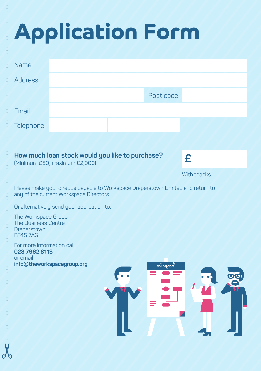# **Application Form**

| <b>Name</b>                                                                                                               |                                                                                  |  |           |              |  |
|---------------------------------------------------------------------------------------------------------------------------|----------------------------------------------------------------------------------|--|-----------|--------------|--|
| <b>Address</b>                                                                                                            |                                                                                  |  |           |              |  |
|                                                                                                                           |                                                                                  |  | Post code |              |  |
| Email                                                                                                                     |                                                                                  |  |           |              |  |
| Telephone                                                                                                                 |                                                                                  |  |           |              |  |
|                                                                                                                           |                                                                                  |  |           |              |  |
|                                                                                                                           | How much loan stock would you like to purchase?<br>(Minimum £50; maximum £2,000) |  |           | £            |  |
|                                                                                                                           |                                                                                  |  |           | With thanks. |  |
| Please make your cheque payable to Workspace Draperstown Limited and return to<br>any of the current Workspace Directors. |                                                                                  |  |           |              |  |
| Or alternatively send your application to:                                                                                |                                                                                  |  |           |              |  |
| The Workspace Group<br><b>The Business Centre</b><br>Draperstown<br><b>BT457AG</b>                                        |                                                                                  |  |           |              |  |
| For more information call<br>028 7962 8113<br>or email                                                                    | info@theworkspacegroup.org                                                       |  |           |              |  |
|                                                                                                                           |                                                                                  |  | workspace |              |  |
|                                                                                                                           |                                                                                  |  |           |              |  |
|                                                                                                                           |                                                                                  |  |           |              |  |